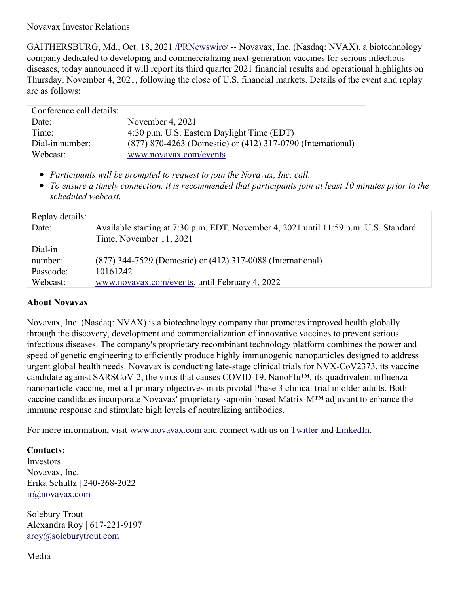Novavax Investor Relations

GAITHERSBURG, Md., Oct. 18, 2021 [/PRNewswire](http://www.prnewswire.com/)/ -- Novavax, Inc. (Nasdaq: NVAX), a biotechnology company dedicated to developing and commercializing next-generation vaccines for serious infectious diseases, today announced it will report its third quarter 2021 financial results and operational highlights on Thursday, November 4, 2021, following the close of U.S. financial markets. Details of the event and replay are as follows:

| Conference call details: |                                                             |
|--------------------------|-------------------------------------------------------------|
| Date:                    | November 4, 2021                                            |
| Time:                    | 4:30 p.m. U.S. Eastern Daylight Time (EDT)                  |
| Dial-in number:          | (877) 870-4263 (Domestic) or (412) 317-0790 (International) |
| Webcast:                 | www.novavax.com/events                                      |

- *Participants will be prompted to request to join the Novavax, Inc. call.*
- To ensure a timely connection, it is recommended that participants join at least 10 minutes prior to the *scheduled webcast.*

| Replay details: |                                                                                      |
|-----------------|--------------------------------------------------------------------------------------|
| Date:           | Available starting at 7:30 p.m. EDT, November 4, 2021 until 11:59 p.m. U.S. Standard |
|                 | Time, November 11, 2021                                                              |
| Dial-in         |                                                                                      |
| number:         | (877) 344-7529 (Domestic) or (412) 317-0088 (International)                          |
| Passcode:       | 10161242                                                                             |
| Webcast:        | www.novavax.com/events, until February 4, 2022                                       |

## **About Novavax**

Novavax, Inc. (Nasdaq: NVAX) is a biotechnology company that promotes improved health globally through the discovery, development and commercialization of innovative vaccines to prevent serious infectious diseases. The company's proprietary recombinant technology platform combines the power and speed of genetic engineering to efficiently produce highly immunogenic nanoparticles designed to address urgent global health needs. Novavax is conducting late-stage clinical trials for NVX-CoV2373, its vaccine candidate against SARSCoV-2, the virus that causes COVID-19. NanoFlu™, its quadrivalent influenza nanoparticle vaccine, met all primary objectives in its pivotal Phase 3 clinical trial in older adults. Both vaccine candidates incorporate Novavax' proprietary saponin-based Matrix-M™ adjuvant to enhance the immune response and stimulate high levels of neutralizing antibodies.

For more information, visit [www.novavax.com](https://c212.net/c/link/?t=0&l=en&o=3325762-1&h=915778826&u=https%3A%2F%2Fwww.novavax.com%2F&a=www.novavax.com) and connect with us on [Twitter](https://c212.net/c/link/?t=0&l=en&o=3325762-1&h=3383945461&u=https%3A%2F%2Ftwitter.com%2Fnovavax&a=Twitter) and [LinkedIn](https://c212.net/c/link/?t=0&l=en&o=3325762-1&h=2066752836&u=https%3A%2F%2Fwww.linkedin.com%2Fcompany%2Fnovavax&a=LinkedIn).

**Contacts:**

Investors Novavax, Inc. Erika Schultz | 240-268-2022 [ir@novavax.com](file:///Users/amysnewacccount/Library/Containers/com.apple.mail/Data/Library/Mail Downloads/2B28E226-F441-410B-ACF6-D143622D5F55/ir@novavax.com)

Solebury Trout Alexandra Roy | 617-221-9197 [aroy@soleburytrout.com](mailto:aroy@soleburytrout.com)

Media